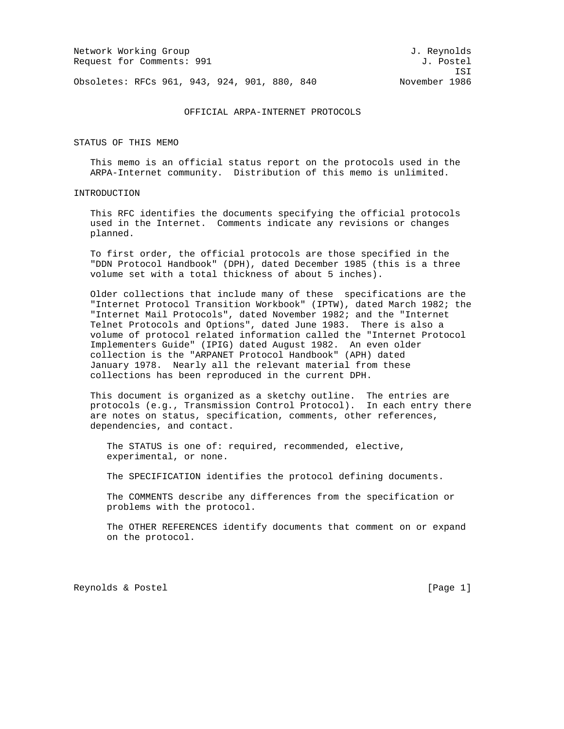Network Working Group and Services and Services and J. Reynolds Request for Comments: 991 J. Postel

ISI

Obsoletes: RFCs 961, 943, 924, 901, 880, 840 November 1986

### OFFICIAL ARPA-INTERNET PROTOCOLS

STATUS OF THIS MEMO

 This memo is an official status report on the protocols used in the ARPA-Internet community. Distribution of this memo is unlimited.

## INTRODUCTION

 This RFC identifies the documents specifying the official protocols used in the Internet. Comments indicate any revisions or changes planned.

 To first order, the official protocols are those specified in the "DDN Protocol Handbook" (DPH), dated December 1985 (this is a three volume set with a total thickness of about 5 inches).

 Older collections that include many of these specifications are the "Internet Protocol Transition Workbook" (IPTW), dated March 1982; the "Internet Mail Protocols", dated November 1982; and the "Internet Telnet Protocols and Options", dated June 1983. There is also a volume of protocol related information called the "Internet Protocol Implementers Guide" (IPIG) dated August 1982. An even older collection is the "ARPANET Protocol Handbook" (APH) dated January 1978. Nearly all the relevant material from these collections has been reproduced in the current DPH.

 This document is organized as a sketchy outline. The entries are protocols (e.g., Transmission Control Protocol). In each entry there are notes on status, specification, comments, other references, dependencies, and contact.

 The STATUS is one of: required, recommended, elective, experimental, or none.

The SPECIFICATION identifies the protocol defining documents.

 The COMMENTS describe any differences from the specification or problems with the protocol.

 The OTHER REFERENCES identify documents that comment on or expand on the protocol.

Reynolds & Postel **Example 2** (Page 1)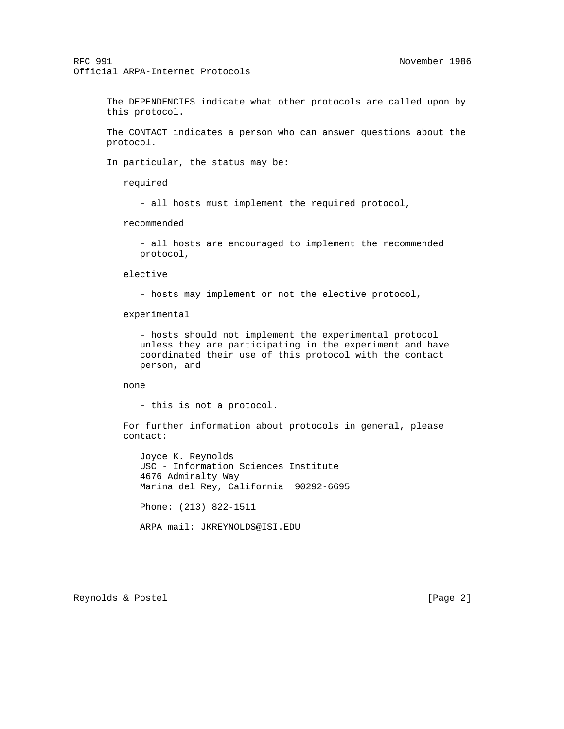The DEPENDENCIES indicate what other protocols are called upon by this protocol.

 The CONTACT indicates a person who can answer questions about the protocol.

In particular, the status may be:

required

- all hosts must implement the required protocol,

recommended

 - all hosts are encouraged to implement the recommended protocol,

elective

- hosts may implement or not the elective protocol,

experimental

 - hosts should not implement the experimental protocol unless they are participating in the experiment and have coordinated their use of this protocol with the contact person, and

none

- this is not a protocol.

 For further information about protocols in general, please contact:

 Joyce K. Reynolds USC - Information Sciences Institute 4676 Admiralty Way Marina del Rey, California 90292-6695 Phone: (213) 822-1511 ARPA mail: JKREYNOLDS@ISI.EDU

Reynolds & Postel [Page 2]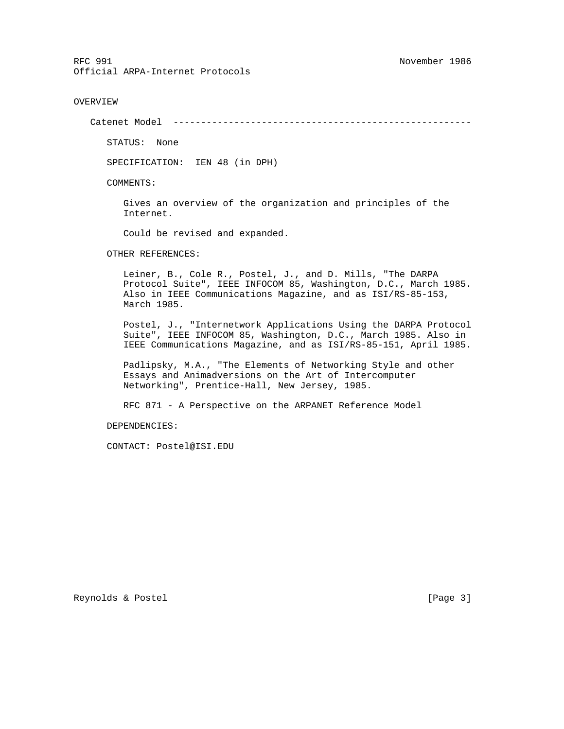### OVERVIEW

Catenet Model ------------------------------------------------------

STATUS: None

SPECIFICATION: IEN 48 (in DPH)

COMMENTS:

 Gives an overview of the organization and principles of the Internet.

Could be revised and expanded.

OTHER REFERENCES:

 Leiner, B., Cole R., Postel, J., and D. Mills, "The DARPA Protocol Suite", IEEE INFOCOM 85, Washington, D.C., March 1985. Also in IEEE Communications Magazine, and as ISI/RS-85-153, March 1985.

 Postel, J., "Internetwork Applications Using the DARPA Protocol Suite", IEEE INFOCOM 85, Washington, D.C., March 1985. Also in IEEE Communications Magazine, and as ISI/RS-85-151, April 1985.

 Padlipsky, M.A., "The Elements of Networking Style and other Essays and Animadversions on the Art of Intercomputer Networking", Prentice-Hall, New Jersey, 1985.

RFC 871 - A Perspective on the ARPANET Reference Model

DEPENDENCIES:

CONTACT: Postel@ISI.EDU

Reynolds & Postel [Page 3]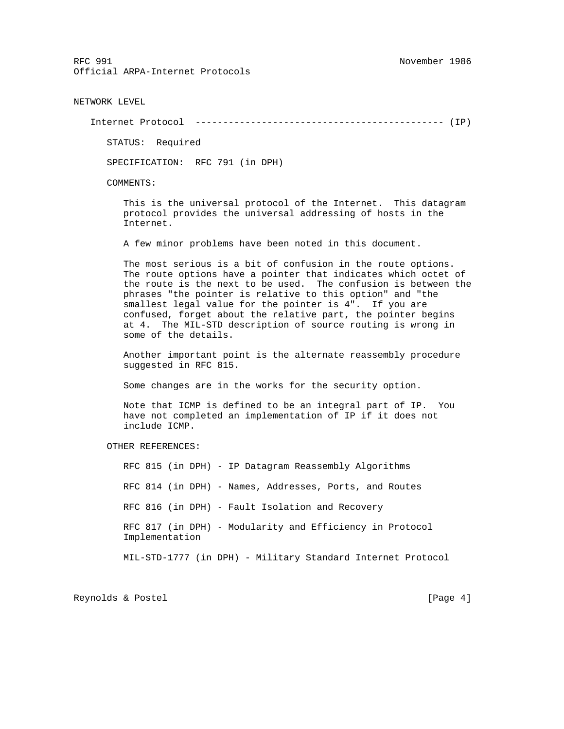NETWORK LEVEL

Internet Protocol --------------------------------------------- (IP)

STATUS: Required

SPECIFICATION: RFC 791 (in DPH)

COMMENTS:

 This is the universal protocol of the Internet. This datagram protocol provides the universal addressing of hosts in the Internet.

A few minor problems have been noted in this document.

 The most serious is a bit of confusion in the route options. The route options have a pointer that indicates which octet of the route is the next to be used. The confusion is between the phrases "the pointer is relative to this option" and "the smallest legal value for the pointer is 4". If you are confused, forget about the relative part, the pointer begins at 4. The MIL-STD description of source routing is wrong in some of the details.

 Another important point is the alternate reassembly procedure suggested in RFC 815.

Some changes are in the works for the security option.

 Note that ICMP is defined to be an integral part of IP. You have not completed an implementation of IP if it does not include ICMP.

OTHER REFERENCES:

 RFC 815 (in DPH) - IP Datagram Reassembly Algorithms RFC 814 (in DPH) - Names, Addresses, Ports, and Routes RFC 816 (in DPH) - Fault Isolation and Recovery RFC 817 (in DPH) - Modularity and Efficiency in Protocol Implementation MIL-STD-1777 (in DPH) - Military Standard Internet Protocol

Reynolds & Postel [Page 4]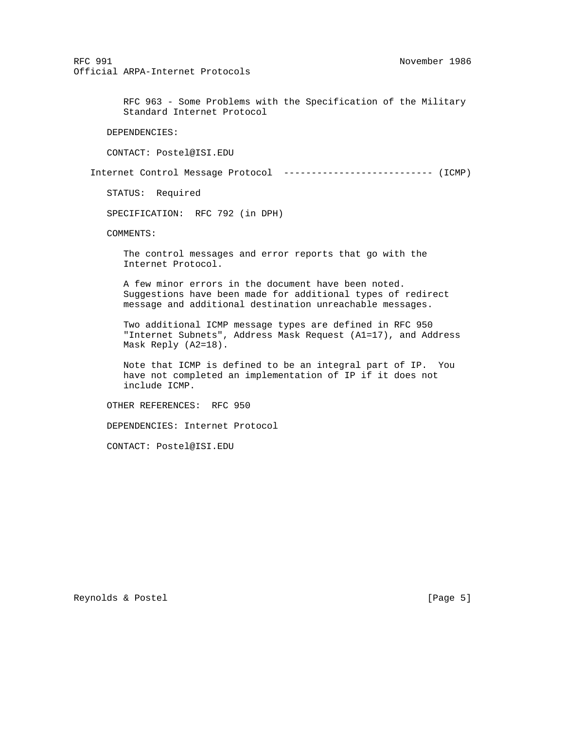> RFC 963 - Some Problems with the Specification of the Military Standard Internet Protocol

DEPENDENCIES:

CONTACT: Postel@ISI.EDU

Internet Control Message Protocol --------------------------- (ICMP)

STATUS: Required

SPECIFICATION: RFC 792 (in DPH)

COMMENTS:

 The control messages and error reports that go with the Internet Protocol.

 A few minor errors in the document have been noted. Suggestions have been made for additional types of redirect message and additional destination unreachable messages.

 Two additional ICMP message types are defined in RFC 950 "Internet Subnets", Address Mask Request (A1=17), and Address Mask Reply (A2=18).

 Note that ICMP is defined to be an integral part of IP. You have not completed an implementation of IP if it does not include ICMP.

OTHER REFERENCES: RFC 950

DEPENDENCIES: Internet Protocol

CONTACT: Postel@ISI.EDU

Reynolds & Postel [Page 5]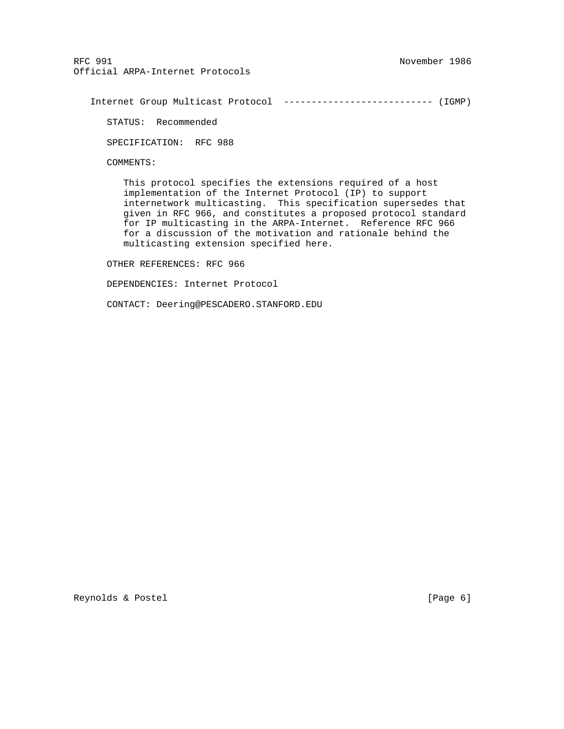Internet Group Multicast Protocol --------------------------- (IGMP)

STATUS: Recommended

SPECIFICATION: RFC 988

COMMENTS:

 This protocol specifies the extensions required of a host implementation of the Internet Protocol (IP) to support internetwork multicasting. This specification supersedes that given in RFC 966, and constitutes a proposed protocol standard for IP multicasting in the ARPA-Internet. Reference RFC 966 for a discussion of the motivation and rationale behind the multicasting extension specified here.

OTHER REFERENCES: RFC 966

DEPENDENCIES: Internet Protocol

CONTACT: Deering@PESCADERO.STANFORD.EDU

Reynolds & Postel (Page 6)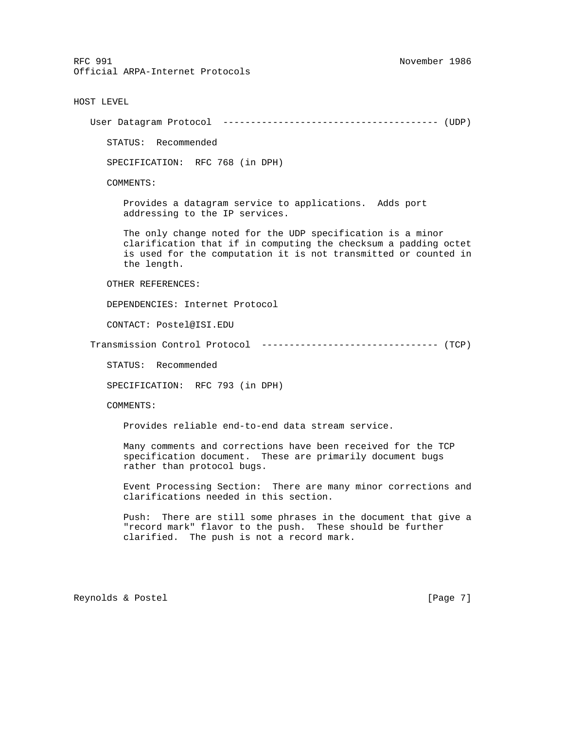HOST LEVEL

User Datagram Protocol --------------------------------------- (UDP)

STATUS: Recommended

SPECIFICATION: RFC 768 (in DPH)

COMMENTS:

 Provides a datagram service to applications. Adds port addressing to the IP services.

 The only change noted for the UDP specification is a minor clarification that if in computing the checksum a padding octet is used for the computation it is not transmitted or counted in the length.

OTHER REFERENCES:

DEPENDENCIES: Internet Protocol

CONTACT: Postel@ISI.EDU

Transmission Control Protocol -------------------------------- (TCP)

STATUS: Recommended

SPECIFICATION: RFC 793 (in DPH)

COMMENTS:

Provides reliable end-to-end data stream service.

 Many comments and corrections have been received for the TCP specification document. These are primarily document bugs rather than protocol bugs.

 Event Processing Section: There are many minor corrections and clarifications needed in this section.

 Push: There are still some phrases in the document that give a "record mark" flavor to the push. These should be further clarified. The push is not a record mark.

Reynolds & Postel [Page 7]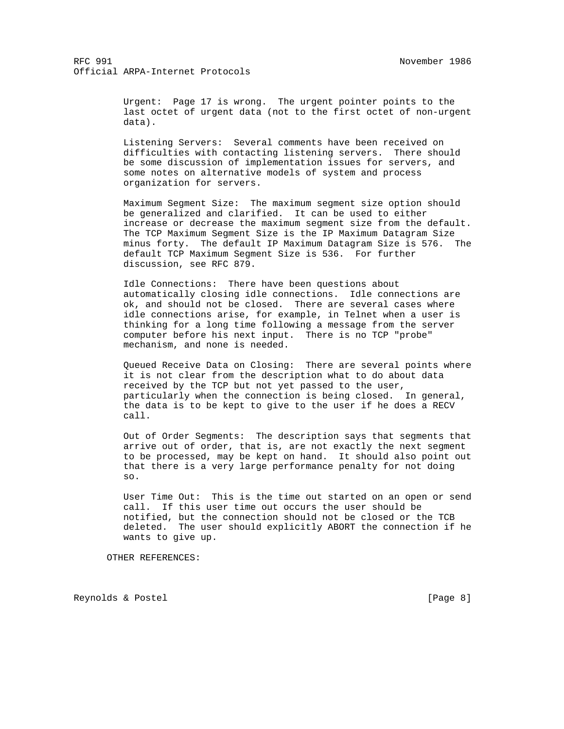Urgent: Page 17 is wrong. The urgent pointer points to the last octet of urgent data (not to the first octet of non-urgent data).

 Listening Servers: Several comments have been received on difficulties with contacting listening servers. There should be some discussion of implementation issues for servers, and some notes on alternative models of system and process organization for servers.

 Maximum Segment Size: The maximum segment size option should be generalized and clarified. It can be used to either increase or decrease the maximum segment size from the default. The TCP Maximum Segment Size is the IP Maximum Datagram Size minus forty. The default IP Maximum Datagram Size is 576. The default TCP Maximum Segment Size is 536. For further discussion, see RFC 879.

 Idle Connections: There have been questions about automatically closing idle connections. Idle connections are ok, and should not be closed. There are several cases where idle connections arise, for example, in Telnet when a user is thinking for a long time following a message from the server computer before his next input. There is no TCP "probe" mechanism, and none is needed.

 Queued Receive Data on Closing: There are several points where it is not clear from the description what to do about data received by the TCP but not yet passed to the user, particularly when the connection is being closed. In general, the data is to be kept to give to the user if he does a RECV call.

 Out of Order Segments: The description says that segments that arrive out of order, that is, are not exactly the next segment to be processed, may be kept on hand. It should also point out that there is a very large performance penalty for not doing so.

 User Time Out: This is the time out started on an open or send call. If this user time out occurs the user should be notified, but the connection should not be closed or the TCB deleted. The user should explicitly ABORT the connection if he wants to give up.

OTHER REFERENCES:

Reynolds & Postel [Page 8]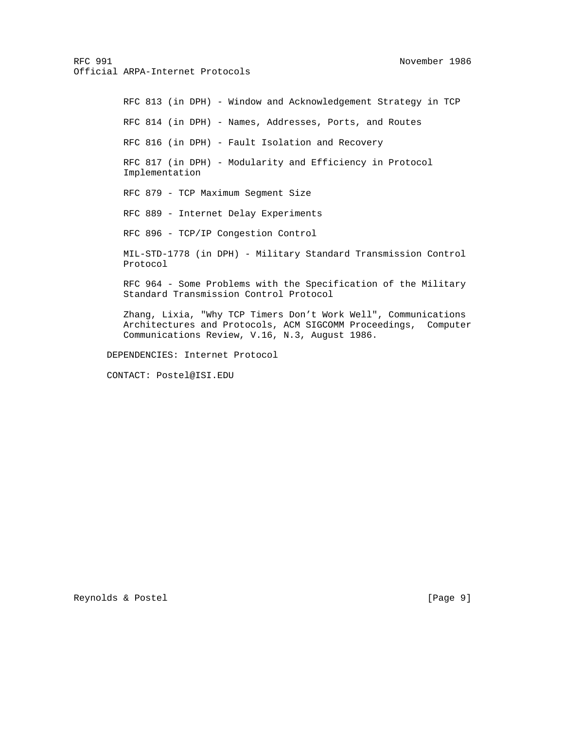RFC 813 (in DPH) - Window and Acknowledgement Strategy in TCP RFC 814 (in DPH) - Names, Addresses, Ports, and Routes RFC 816 (in DPH) - Fault Isolation and Recovery RFC 817 (in DPH) - Modularity and Efficiency in Protocol Implementation RFC 879 - TCP Maximum Segment Size RFC 889 - Internet Delay Experiments RFC 896 - TCP/IP Congestion Control MIL-STD-1778 (in DPH) - Military Standard Transmission Control Protocol RFC 964 - Some Problems with the Specification of the Military Standard Transmission Control Protocol Zhang, Lixia, "Why TCP Timers Don't Work Well", Communications Architectures and Protocols, ACM SIGCOMM Proceedings, Computer Communications Review, V.16, N.3, August 1986.

DEPENDENCIES: Internet Protocol

CONTACT: Postel@ISI.EDU

Reynolds & Postel [Page 9]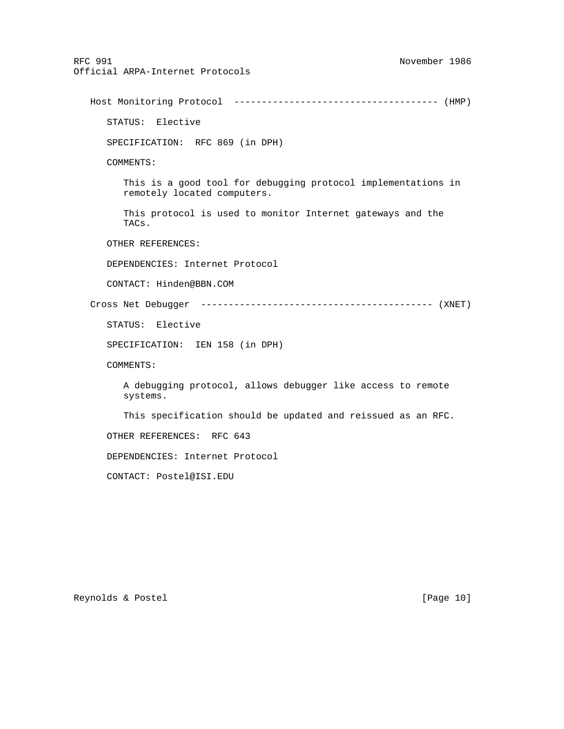RFC 991 November 1986 Official ARPA-Internet Protocols Host Monitoring Protocol ------------------------------------- (HMP) STATUS: Elective SPECIFICATION: RFC 869 (in DPH) COMMENTS: This is a good tool for debugging protocol implementations in remotely located computers. This protocol is used to monitor Internet gateways and the TACs. OTHER REFERENCES: DEPENDENCIES: Internet Protocol CONTACT: Hinden@BBN.COM Cross Net Debugger ------------------------------------------ (XNET) STATUS: Elective SPECIFICATION: IEN 158 (in DPH) COMMENTS: A debugging protocol, allows debugger like access to remote systems. This specification should be updated and reissued as an RFC. OTHER REFERENCES: RFC 643 DEPENDENCIES: Internet Protocol CONTACT: Postel@ISI.EDU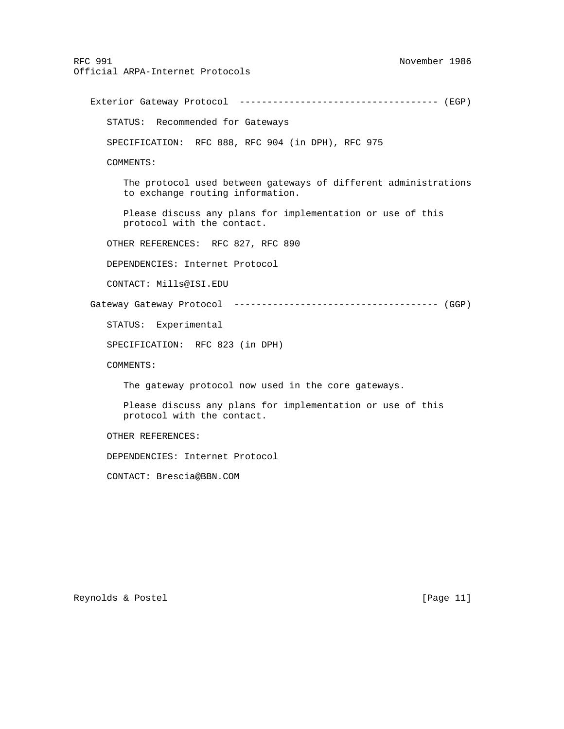RFC 991 November 1986 Official ARPA-Internet Protocols Exterior Gateway Protocol ------------------------------------ (EGP) STATUS: Recommended for Gateways SPECIFICATION: RFC 888, RFC 904 (in DPH), RFC 975 COMMENTS: The protocol used between gateways of different administrations to exchange routing information. Please discuss any plans for implementation or use of this protocol with the contact. OTHER REFERENCES: RFC 827, RFC 890 DEPENDENCIES: Internet Protocol CONTACT: Mills@ISI.EDU Gateway Gateway Protocol ------------------------------------- (GGP) STATUS: Experimental SPECIFICATION: RFC 823 (in DPH) COMMENTS: The gateway protocol now used in the core gateways. Please discuss any plans for implementation or use of this protocol with the contact. OTHER REFERENCES: DEPENDENCIES: Internet Protocol CONTACT: Brescia@BBN.COM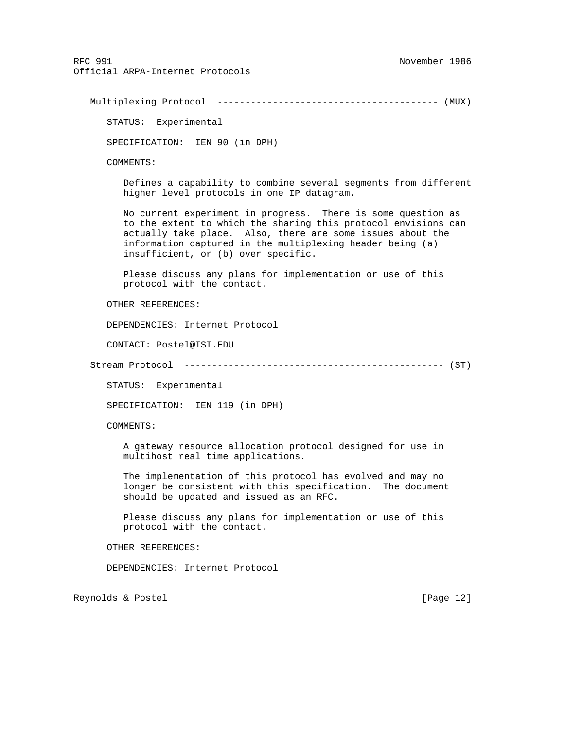Multiplexing Protocol ---------------------------------------- (MUX)

STATUS: Experimental

SPECIFICATION: IEN 90 (in DPH)

COMMENTS:

 Defines a capability to combine several segments from different higher level protocols in one IP datagram.

 No current experiment in progress. There is some question as to the extent to which the sharing this protocol envisions can actually take place. Also, there are some issues about the information captured in the multiplexing header being (a) insufficient, or (b) over specific.

 Please discuss any plans for implementation or use of this protocol with the contact.

OTHER REFERENCES:

DEPENDENCIES: Internet Protocol

CONTACT: Postel@ISI.EDU

Stream Protocol ----------------------------------------------- (ST)

STATUS: Experimental

SPECIFICATION: IEN 119 (in DPH)

COMMENTS:

 A gateway resource allocation protocol designed for use in multihost real time applications.

 The implementation of this protocol has evolved and may no longer be consistent with this specification. The document should be updated and issued as an RFC.

 Please discuss any plans for implementation or use of this protocol with the contact.

OTHER REFERENCES:

DEPENDENCIES: Internet Protocol

Reynolds & Postel [Page 12]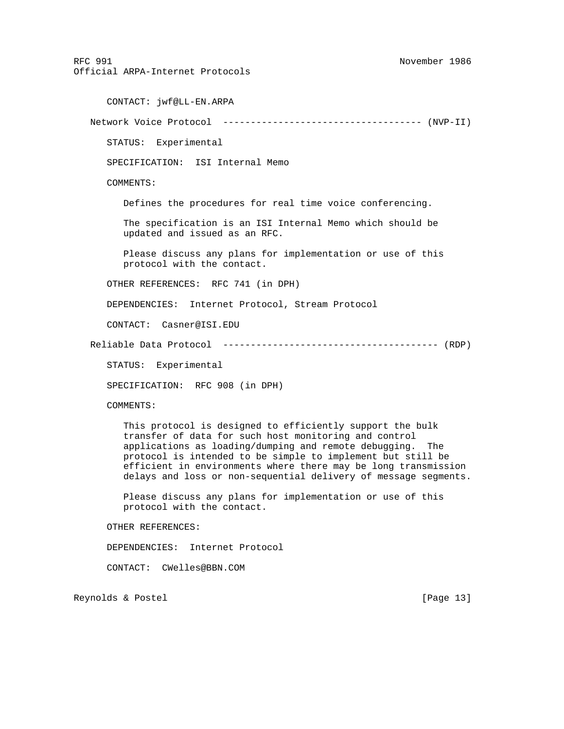RFC 991 November 1986 Official ARPA-Internet Protocols CONTACT: jwf@LL-EN.ARPA Network Voice Protocol ------------------------------------ (NVP-II) STATUS: Experimental SPECIFICATION: ISI Internal Memo COMMENTS: Defines the procedures for real time voice conferencing. The specification is an ISI Internal Memo which should be updated and issued as an RFC. Please discuss any plans for implementation or use of this protocol with the contact. OTHER REFERENCES: RFC 741 (in DPH) DEPENDENCIES: Internet Protocol, Stream Protocol CONTACT: Casner@ISI.EDU Reliable Data Protocol --------------------------------------- (RDP) STATUS: Experimental SPECIFICATION: RFC 908 (in DPH) COMMENTS: This protocol is designed to efficiently support the bulk transfer of data for such host monitoring and control applications as loading/dumping and remote debugging. The protocol is intended to be simple to implement but still be efficient in environments where there may be long transmission delays and loss or non-sequential delivery of message segments. Please discuss any plans for implementation or use of this protocol with the contact. OTHER REFERENCES: DEPENDENCIES: Internet Protocol CONTACT: CWelles@BBN.COM Reynolds & Postel [Page 13]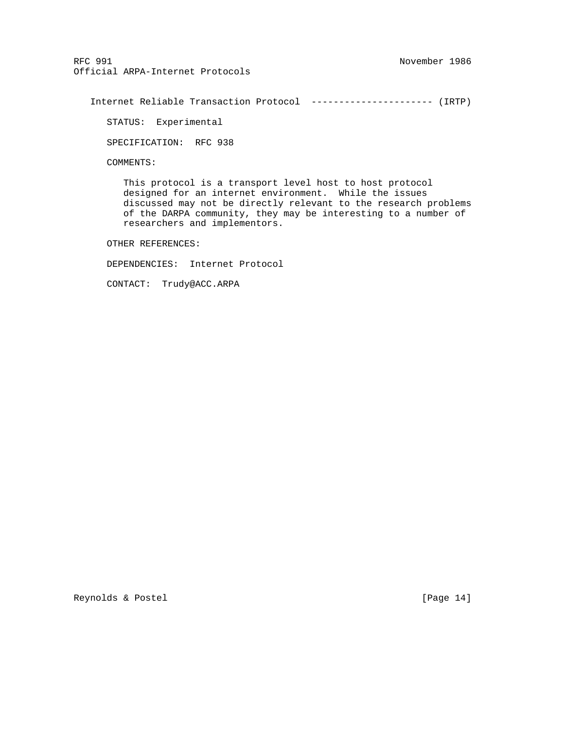Internet Reliable Transaction Protocol ---------------------- (IRTP)

STATUS: Experimental

SPECIFICATION: RFC 938

COMMENTS:

 This protocol is a transport level host to host protocol designed for an internet environment. While the issues discussed may not be directly relevant to the research problems of the DARPA community, they may be interesting to a number of researchers and implementors.

OTHER REFERENCES:

DEPENDENCIES: Internet Protocol

CONTACT: Trudy@ACC.ARPA

Reynolds & Postel [Page 14]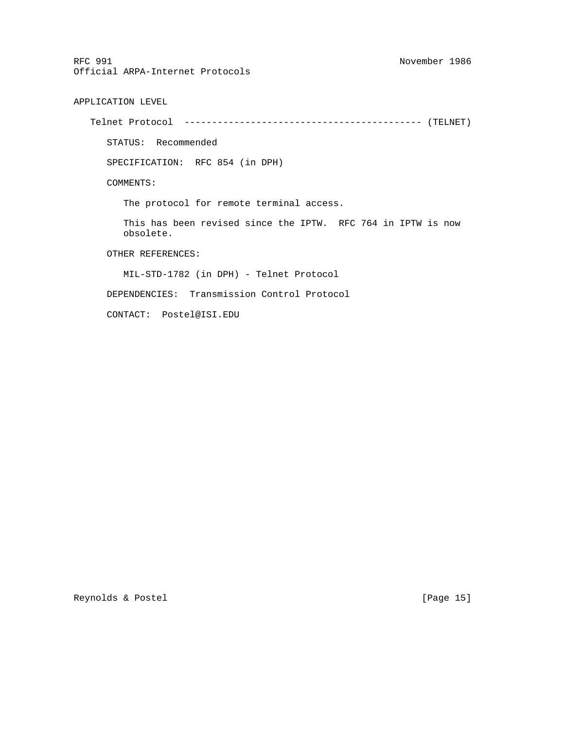APPLICATION LEVEL

Telnet Protocol ------------------------------------------- (TELNET)

STATUS: Recommended

SPECIFICATION: RFC 854 (in DPH)

COMMENTS:

The protocol for remote terminal access.

 This has been revised since the IPTW. RFC 764 in IPTW is now obsolete.

OTHER REFERENCES:

MIL-STD-1782 (in DPH) - Telnet Protocol

DEPENDENCIES: Transmission Control Protocol

CONTACT: Postel@ISI.EDU

Reynolds & Postel [Page 15]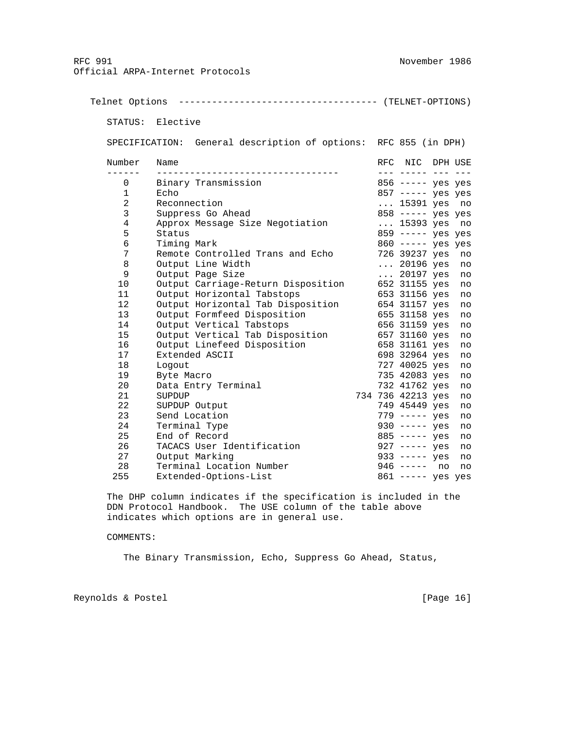Telnet Options ------------------------------------ (TELNET-OPTIONS) STATUS: Elective SPECIFICATION: General description of options: RFC 855 (in DPH) Number Name **RFC NIC DPH USE**  ------ --------------------------------- --- ----- --- --- 0 Binary Transmission 856 ----- yes yes 1 Echo 857 ----- yes yes 2 Reconnection ... 15391 yes no 3 Suppress Go Ahead 858 ----- yes yes 4 Approx Message Size Negotiation ... 15393 yes no 5 Status 859 ----- yes yes 6 Timing Mark 860 ----- yes yes<br>7 Remote Controlled Trans and Echo 89237 yes no Remote Controlled Trans and Echo 8 Output Line Width ... 20196 yes no 9 Output Page Size ... 20197 yes no 10 Output Carriage-Return Disposition 652 31155 yes no 11 Output Horizontal Tabstops 653 31156 yes no 12 Output Horizontal Tab Disposition 654 31157 yes no 13 Output Formfeed Disposition 655 31158 yes no 14 Output Vertical Tabstops 656 31159 yes no 15 Output Vertical Tab Disposition 657 31160 yes no 16 Output Linefeed Disposition 658 31161 yes no 17 Extended ASCII 698 32964 yes no 18 Logout 727 40025 yes no 19 Byte Macro 735 42083 yes no 20 Data Entry Terminal 732 41762 yes no 21 SUPDUP 734 736 42213 yes no 22 SUPDUP Output 749 45449 yes no 23 Send Location 779 ----- yes no 24 Terminal Type 930 ----- yes no 25 End of Record<br>26 TACACS User Identification 327 ----- yes no 26 TACACS User Identification<br>27 Output Marking 27 Output Marking<br>
28 Terminal Location Number 946 ----- no no 28 Terminal Location Number 255 Extended-Options-List 861 ----- yes yes

 The DHP column indicates if the specification is included in the DDN Protocol Handbook. The USE column of the table above indicates which options are in general use.

### COMMENTS:

The Binary Transmission, Echo, Suppress Go Ahead, Status,

Reynolds & Postel [Page 16]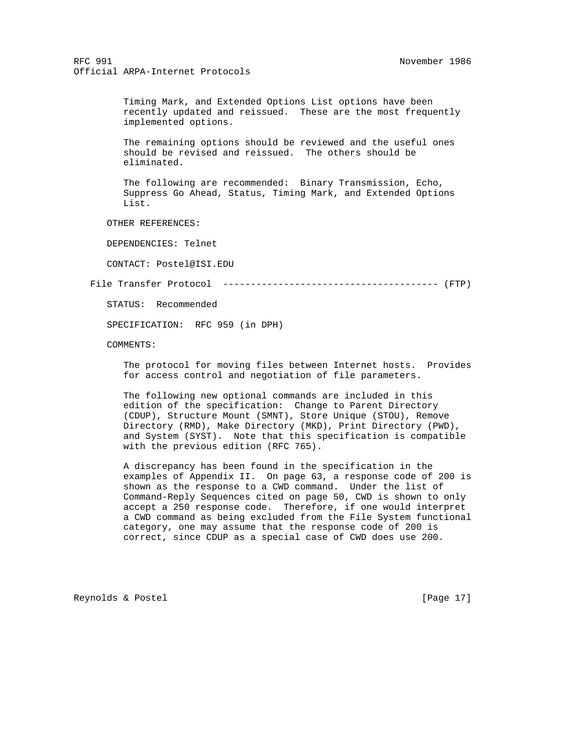Timing Mark, and Extended Options List options have been recently updated and reissued. These are the most frequently implemented options.

 The remaining options should be reviewed and the useful ones should be revised and reissued. The others should be eliminated.

 The following are recommended: Binary Transmission, Echo, Suppress Go Ahead, Status, Timing Mark, and Extended Options List.

OTHER REFERENCES:

DEPENDENCIES: Telnet

CONTACT: Postel@ISI.EDU

File Transfer Protocol --------------------------------------- (FTP)

STATUS: Recommended

SPECIFICATION: RFC 959 (in DPH)

COMMENTS:

 The protocol for moving files between Internet hosts. Provides for access control and negotiation of file parameters.

 The following new optional commands are included in this edition of the specification: Change to Parent Directory (CDUP), Structure Mount (SMNT), Store Unique (STOU), Remove Directory (RMD), Make Directory (MKD), Print Directory (PWD), and System (SYST). Note that this specification is compatible with the previous edition (RFC 765).

 A discrepancy has been found in the specification in the examples of Appendix II. On page 63, a response code of 200 is shown as the response to a CWD command. Under the list of Command-Reply Sequences cited on page 50, CWD is shown to only accept a 250 response code. Therefore, if one would interpret a CWD command as being excluded from the File System functional category, one may assume that the response code of 200 is correct, since CDUP as a special case of CWD does use 200.

Reynolds & Postel [Page 17]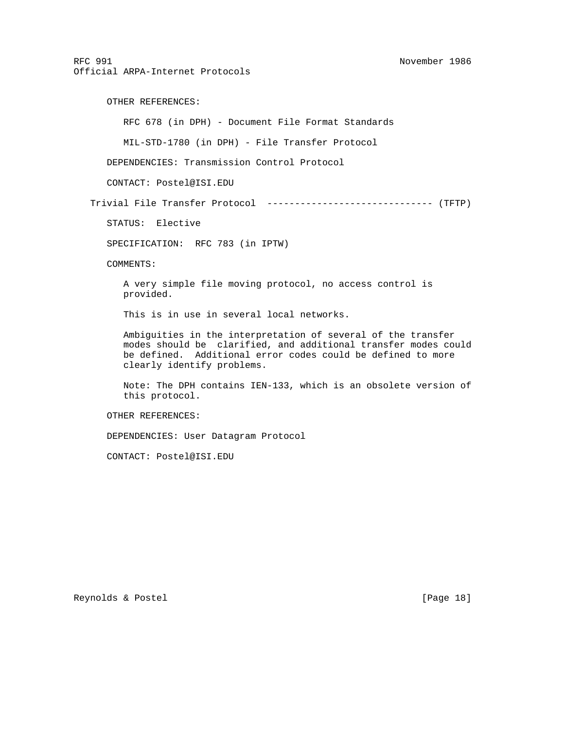OTHER REFERENCES: RFC 678 (in DPH) - Document File Format Standards MIL-STD-1780 (in DPH) - File Transfer Protocol DEPENDENCIES: Transmission Control Protocol CONTACT: Postel@ISI.EDU Trivial File Transfer Protocol ------------------------------ (TFTP) STATUS: Elective SPECIFICATION: RFC 783 (in IPTW) COMMENTS: A very simple file moving protocol, no access control is provided. This is in use in several local networks. Ambiguities in the interpretation of several of the transfer modes should be clarified, and additional transfer modes could be defined. Additional error codes could be defined to more clearly identify problems. Note: The DPH contains IEN-133, which is an obsolete version of this protocol. OTHER REFERENCES: DEPENDENCIES: User Datagram Protocol CONTACT: Postel@ISI.EDU

Reynolds & Postel [Page 18]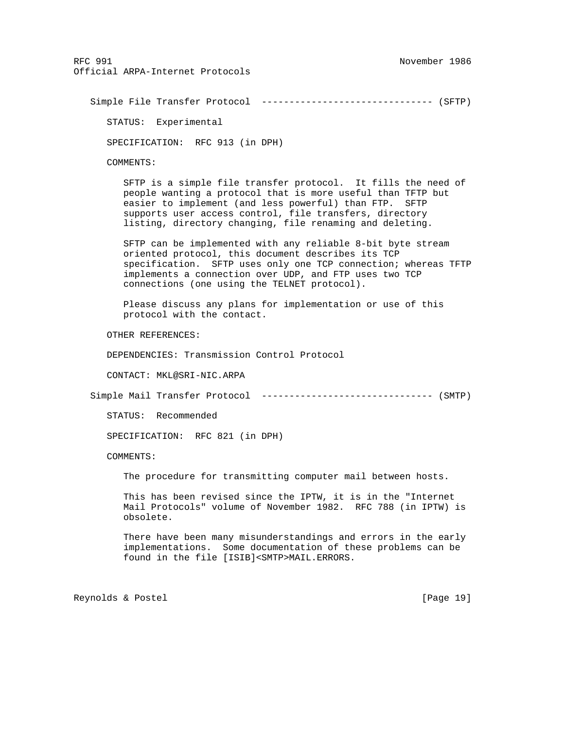Simple File Transfer Protocol ------------------------------- (SFTP) STATUS: Experimental SPECIFICATION: RFC 913 (in DPH) COMMENTS: SFTP is a simple file transfer protocol. It fills the need of people wanting a protocol that is more useful than TFTP but easier to implement (and less powerful) than FTP. SFTP supports user access control, file transfers, directory listing, directory changing, file renaming and deleting. SFTP can be implemented with any reliable 8-bit byte stream oriented protocol, this document describes its TCP specification. SFTP uses only one TCP connection; whereas TFTP implements a connection over UDP, and FTP uses two TCP connections (one using the TELNET protocol). Please discuss any plans for implementation or use of this protocol with the contact. OTHER REFERENCES: DEPENDENCIES: Transmission Control Protocol CONTACT: MKL@SRI-NIC.ARPA Simple Mail Transfer Protocol ------------------------------- (SMTP) STATUS: Recommended SPECIFICATION: RFC 821 (in DPH) COMMENTS: The procedure for transmitting computer mail between hosts. This has been revised since the IPTW, it is in the "Internet Mail Protocols" volume of November 1982. RFC 788 (in IPTW) is obsolete. There have been many misunderstandings and errors in the early implementations. Some documentation of these problems can be found in the file [ISIB]<SMTP>MAIL.ERRORS.

Reynolds & Postel [Page 19]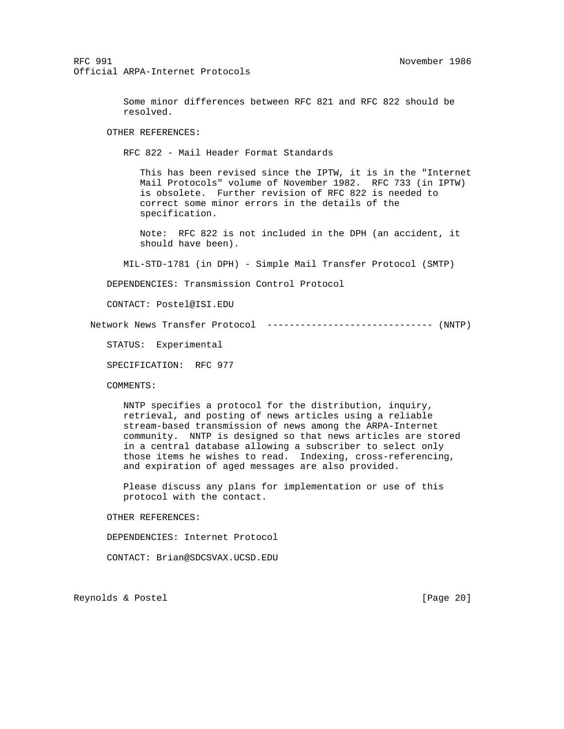Some minor differences between RFC 821 and RFC 822 should be resolved.

OTHER REFERENCES:

RFC 822 - Mail Header Format Standards

 This has been revised since the IPTW, it is in the "Internet Mail Protocols" volume of November 1982. RFC 733 (in IPTW) is obsolete. Further revision of RFC 822 is needed to correct some minor errors in the details of the specification.

 Note: RFC 822 is not included in the DPH (an accident, it should have been).

MIL-STD-1781 (in DPH) - Simple Mail Transfer Protocol (SMTP)

DEPENDENCIES: Transmission Control Protocol

CONTACT: Postel@ISI.EDU

Network News Transfer Protocol ------------------------------ (NNTP)

STATUS: Experimental

SPECIFICATION: RFC 977

COMMENTS:

 NNTP specifies a protocol for the distribution, inquiry, retrieval, and posting of news articles using a reliable stream-based transmission of news among the ARPA-Internet community. NNTP is designed so that news articles are stored in a central database allowing a subscriber to select only those items he wishes to read. Indexing, cross-referencing, and expiration of aged messages are also provided.

 Please discuss any plans for implementation or use of this protocol with the contact.

OTHER REFERENCES:

DEPENDENCIES: Internet Protocol

CONTACT: Brian@SDCSVAX.UCSD.EDU

Reynolds & Postel [Page 20]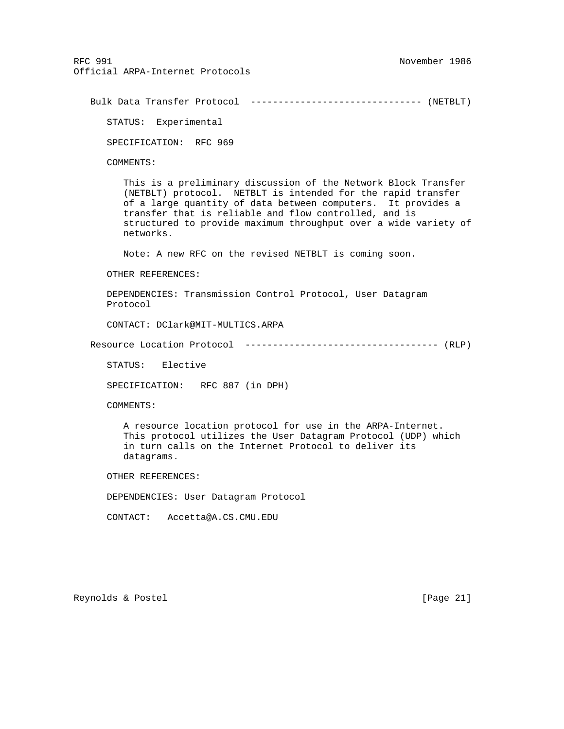```
 Bulk Data Transfer Protocol ------------------------------- (NETBLT)
```
STATUS: Experimental

SPECIFICATION: RFC 969

COMMENTS:

 This is a preliminary discussion of the Network Block Transfer (NETBLT) protocol. NETBLT is intended for the rapid transfer of a large quantity of data between computers. It provides a transfer that is reliable and flow controlled, and is structured to provide maximum throughput over a wide variety of networks.

Note: A new RFC on the revised NETBLT is coming soon.

OTHER REFERENCES:

 DEPENDENCIES: Transmission Control Protocol, User Datagram Protocol

CONTACT: DClark@MIT-MULTICS.ARPA

Resource Location Protocol ----------------------------------- (RLP)

STATUS: Elective

SPECIFICATION: RFC 887 (in DPH)

COMMENTS:

 A resource location protocol for use in the ARPA-Internet. This protocol utilizes the User Datagram Protocol (UDP) which in turn calls on the Internet Protocol to deliver its datagrams.

OTHER REFERENCES:

DEPENDENCIES: User Datagram Protocol

CONTACT: Accetta@A.CS.CMU.EDU

Reynolds & Postel [Page 21]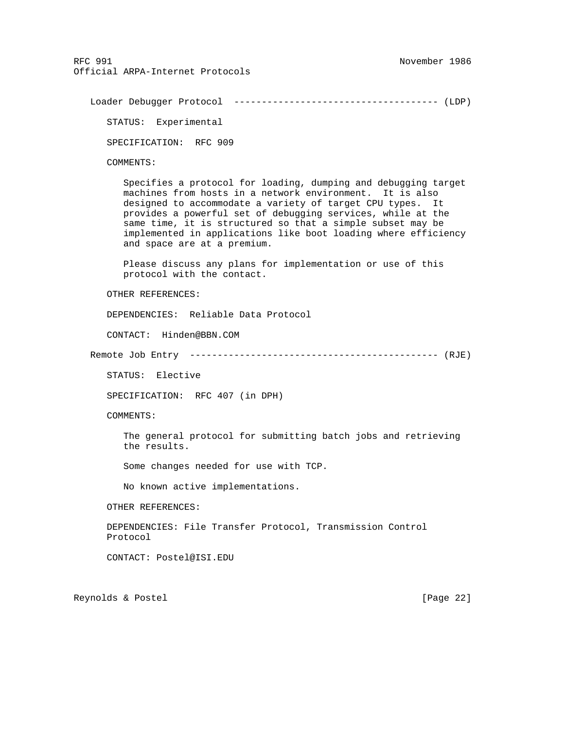Loader Debugger Protocol ------------------------------------- (LDP)

STATUS: Experimental

SPECIFICATION: RFC 909

COMMENTS:

 Specifies a protocol for loading, dumping and debugging target machines from hosts in a network environment. It is also designed to accommodate a variety of target CPU types. It provides a powerful set of debugging services, while at the same time, it is structured so that a simple subset may be implemented in applications like boot loading where efficiency and space are at a premium.

 Please discuss any plans for implementation or use of this protocol with the contact.

OTHER REFERENCES:

DEPENDENCIES: Reliable Data Protocol

CONTACT: Hinden@BBN.COM

Remote Job Entry --------------------------------------------- (RJE)

STATUS: Elective

SPECIFICATION: RFC 407 (in DPH)

COMMENTS:

 The general protocol for submitting batch jobs and retrieving the results.

Some changes needed for use with TCP.

No known active implementations.

OTHER REFERENCES:

 DEPENDENCIES: File Transfer Protocol, Transmission Control Protocol

CONTACT: Postel@ISI.EDU

Reynolds & Postel [Page 22]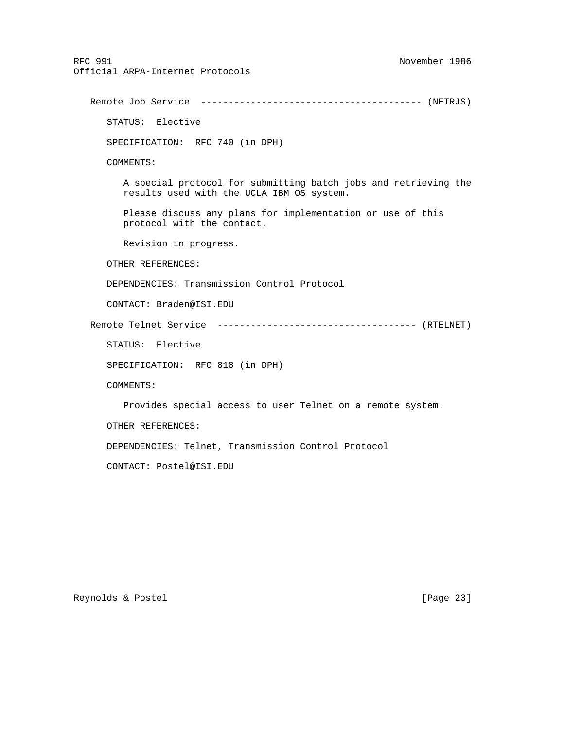RFC 991 November 1986 Official ARPA-Internet Protocols Remote Job Service ---------------------------------------- (NETRJS) STATUS: Elective SPECIFICATION: RFC 740 (in DPH) COMMENTS: A special protocol for submitting batch jobs and retrieving the results used with the UCLA IBM OS system. Please discuss any plans for implementation or use of this protocol with the contact. Revision in progress. OTHER REFERENCES: DEPENDENCIES: Transmission Control Protocol CONTACT: Braden@ISI.EDU Remote Telnet Service ------------------------------------ (RTELNET) STATUS: Elective SPECIFICATION: RFC 818 (in DPH) COMMENTS: Provides special access to user Telnet on a remote system. OTHER REFERENCES: DEPENDENCIES: Telnet, Transmission Control Protocol

Reynolds & Postel [Page 23]

CONTACT: Postel@ISI.EDU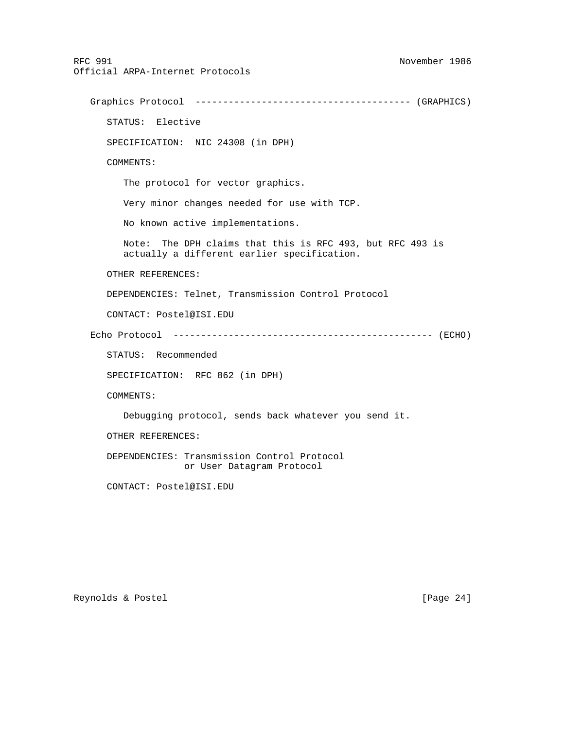RFC 991 November 1986 Official ARPA-Internet Protocols Graphics Protocol --------------------------------------- (GRAPHICS) STATUS: Elective SPECIFICATION: NIC 24308 (in DPH) COMMENTS: The protocol for vector graphics. Very minor changes needed for use with TCP. No known active implementations. Note: The DPH claims that this is RFC 493, but RFC 493 is actually a different earlier specification. OTHER REFERENCES: DEPENDENCIES: Telnet, Transmission Control Protocol CONTACT: Postel@ISI.EDU Echo Protocol ----------------------------------------------- (ECHO) STATUS: Recommended SPECIFICATION: RFC 862 (in DPH) COMMENTS: Debugging protocol, sends back whatever you send it. OTHER REFERENCES: DEPENDENCIES: Transmission Control Protocol or User Datagram Protocol CONTACT: Postel@ISI.EDU

Reynolds & Postel [Page 24]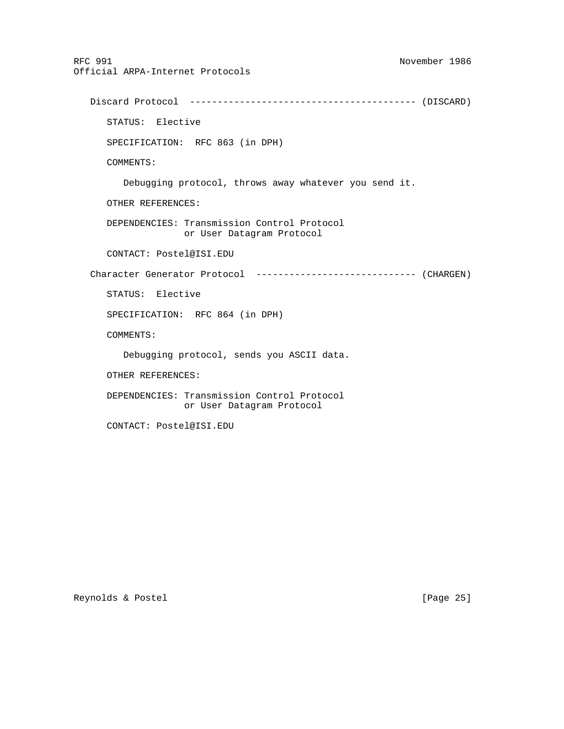RFC 991 November 1986 Official ARPA-Internet Protocols Discard Protocol ----------------------------------------- (DISCARD) STATUS: Elective SPECIFICATION: RFC 863 (in DPH) COMMENTS: Debugging protocol, throws away whatever you send it. OTHER REFERENCES: DEPENDENCIES: Transmission Control Protocol or User Datagram Protocol CONTACT: Postel@ISI.EDU Character Generator Protocol ----------------------------- (CHARGEN) STATUS: Elective SPECIFICATION: RFC 864 (in DPH) COMMENTS: Debugging protocol, sends you ASCII data. OTHER REFERENCES: DEPENDENCIES: Transmission Control Protocol or User Datagram Protocol

CONTACT: Postel@ISI.EDU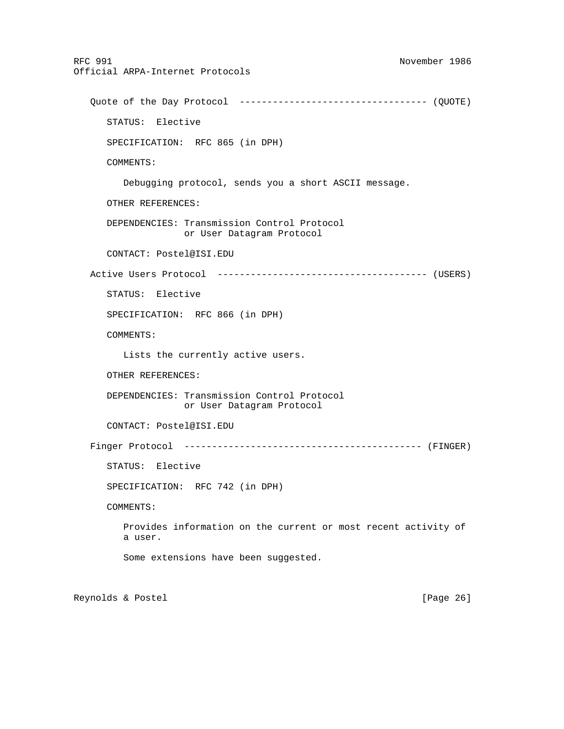RFC 991 November 1986 Official ARPA-Internet Protocols Quote of the Day Protocol ---------------------------------- (QUOTE) STATUS: Elective SPECIFICATION: RFC 865 (in DPH) COMMENTS: Debugging protocol, sends you a short ASCII message. OTHER REFERENCES: DEPENDENCIES: Transmission Control Protocol or User Datagram Protocol CONTACT: Postel@ISI.EDU Active Users Protocol -------------------------------------- (USERS) STATUS: Elective SPECIFICATION: RFC 866 (in DPH) COMMENTS: Lists the currently active users. OTHER REFERENCES: DEPENDENCIES: Transmission Control Protocol or User Datagram Protocol CONTACT: Postel@ISI.EDU Finger Protocol ------------------------------------------- (FINGER) STATUS: Elective SPECIFICATION: RFC 742 (in DPH) COMMENTS: Provides information on the current or most recent activity of a user. Some extensions have been suggested.

Reynolds & Postel [Page 26]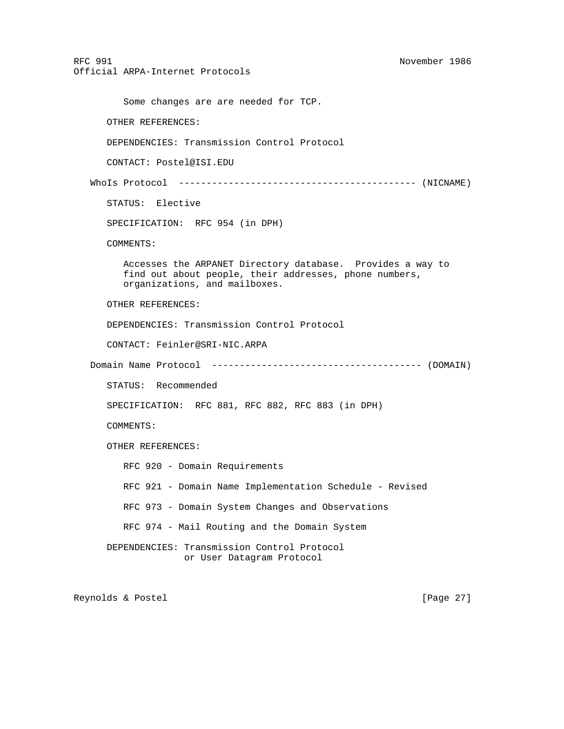RFC 991 November 1986 Official ARPA-Internet Protocols Some changes are are needed for TCP. OTHER REFERENCES: DEPENDENCIES: Transmission Control Protocol CONTACT: Postel@ISI.EDU WhoIs Protocol ------------------------------------------- (NICNAME) STATUS: Elective SPECIFICATION: RFC 954 (in DPH) COMMENTS: Accesses the ARPANET Directory database. Provides a way to find out about people, their addresses, phone numbers, organizations, and mailboxes. OTHER REFERENCES: DEPENDENCIES: Transmission Control Protocol CONTACT: Feinler@SRI-NIC.ARPA Domain Name Protocol -------------------------------------- (DOMAIN) STATUS: Recommended SPECIFICATION: RFC 881, RFC 882, RFC 883 (in DPH) COMMENTS: OTHER REFERENCES: RFC 920 - Domain Requirements RFC 921 - Domain Name Implementation Schedule - Revised RFC 973 - Domain System Changes and Observations RFC 974 - Mail Routing and the Domain System DEPENDENCIES: Transmission Control Protocol or User Datagram Protocol

Reynolds & Postel [Page 27]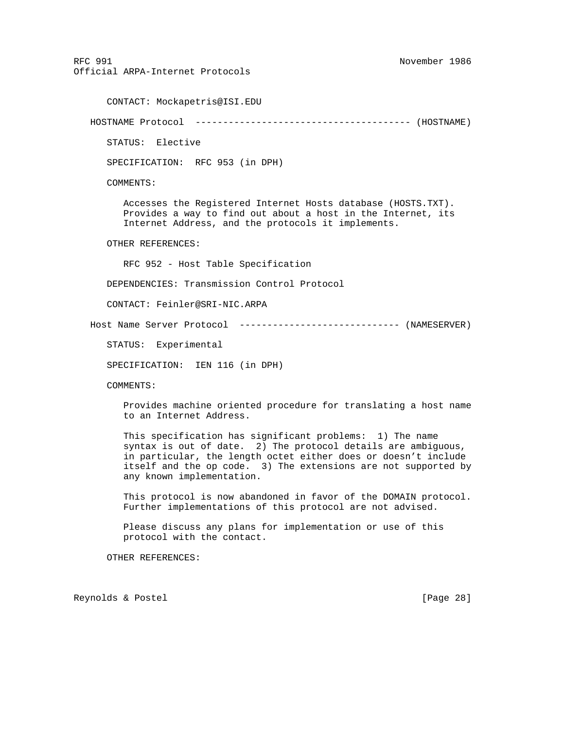RFC 991 November 1986 Official ARPA-Internet Protocols CONTACT: Mockapetris@ISI.EDU HOSTNAME Protocol --------------------------------------- (HOSTNAME) STATUS: Elective SPECIFICATION: RFC 953 (in DPH) COMMENTS: Accesses the Registered Internet Hosts database (HOSTS.TXT). Provides a way to find out about a host in the Internet, its Internet Address, and the protocols it implements. OTHER REFERENCES: RFC 952 - Host Table Specification DEPENDENCIES: Transmission Control Protocol CONTACT: Feinler@SRI-NIC.ARPA Host Name Server Protocol ----------------------------- (NAMESERVER) STATUS: Experimental SPECIFICATION: IEN 116 (in DPH) COMMENTS: Provides machine oriented procedure for translating a host name to an Internet Address. This specification has significant problems: 1) The name syntax is out of date. 2) The protocol details are ambiguous, in particular, the length octet either does or doesn't include itself and the op code. 3) The extensions are not supported by any known implementation. This protocol is now abandoned in favor of the DOMAIN protocol. Further implementations of this protocol are not advised. Please discuss any plans for implementation or use of this protocol with the contact. OTHER REFERENCES:

Reynolds & Postel [Page 28]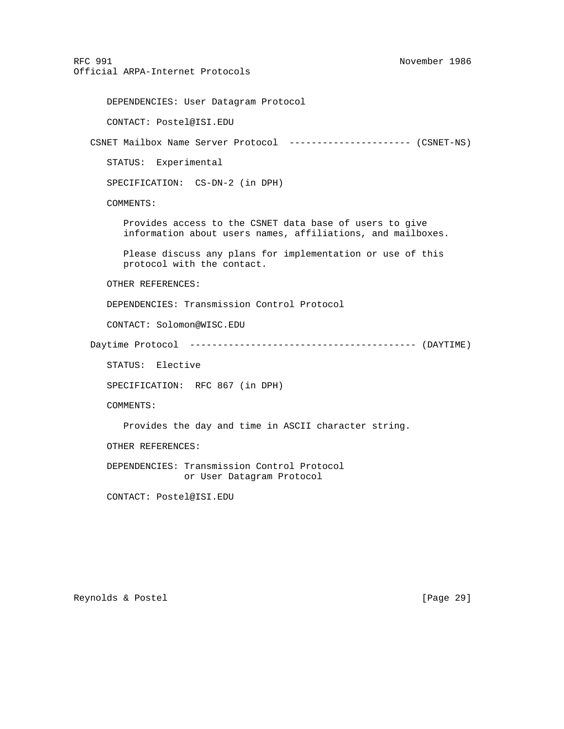DEPENDENCIES: User Datagram Protocol

CONTACT: Postel@ISI.EDU

CSNET Mailbox Name Server Protocol ---------------------- (CSNET-NS)

STATUS: Experimental

SPECIFICATION: CS-DN-2 (in DPH)

COMMENTS:

 Provides access to the CSNET data base of users to give information about users names, affiliations, and mailboxes.

 Please discuss any plans for implementation or use of this protocol with the contact.

OTHER REFERENCES:

DEPENDENCIES: Transmission Control Protocol

CONTACT: Solomon@WISC.EDU

Daytime Protocol ----------------------------------------- (DAYTIME)

STATUS: Elective

SPECIFICATION: RFC 867 (in DPH)

COMMENTS:

Provides the day and time in ASCII character string.

OTHER REFERENCES:

 DEPENDENCIES: Transmission Control Protocol or User Datagram Protocol

CONTACT: Postel@ISI.EDU

Reynolds & Postel [Page 29]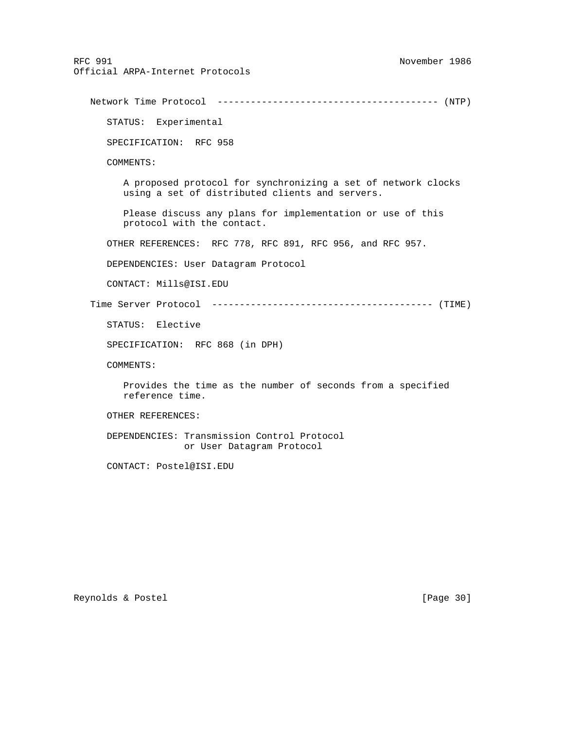Network Time Protocol ---------------------------------------- (NTP) STATUS: Experimental SPECIFICATION: RFC 958 COMMENTS: A proposed protocol for synchronizing a set of network clocks using a set of distributed clients and servers. Please discuss any plans for implementation or use of this protocol with the contact. OTHER REFERENCES: RFC 778, RFC 891, RFC 956, and RFC 957. DEPENDENCIES: User Datagram Protocol CONTACT: Mills@ISI.EDU Time Server Protocol ---------------------------------------- (TIME) STATUS: Elective SPECIFICATION: RFC 868 (in DPH) COMMENTS: Provides the time as the number of seconds from a specified reference time. OTHER REFERENCES: DEPENDENCIES: Transmission Control Protocol or User Datagram Protocol CONTACT: Postel@ISI.EDU

Reynolds & Postel [Page 30]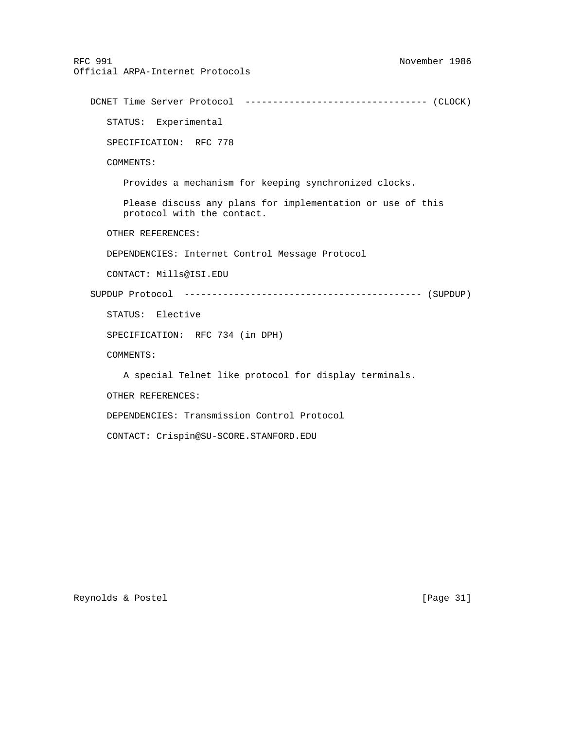RFC 991 November 1986 Official ARPA-Internet Protocols DCNET Time Server Protocol --------------------------------- (CLOCK) STATUS: Experimental SPECIFICATION: RFC 778 COMMENTS: Provides a mechanism for keeping synchronized clocks. Please discuss any plans for implementation or use of this protocol with the contact. OTHER REFERENCES: DEPENDENCIES: Internet Control Message Protocol CONTACT: Mills@ISI.EDU SUPDUP Protocol ------------------------------------------- (SUPDUP) STATUS: Elective SPECIFICATION: RFC 734 (in DPH) COMMENTS: A special Telnet like protocol for display terminals. OTHER REFERENCES: DEPENDENCIES: Transmission Control Protocol

CONTACT: Crispin@SU-SCORE.STANFORD.EDU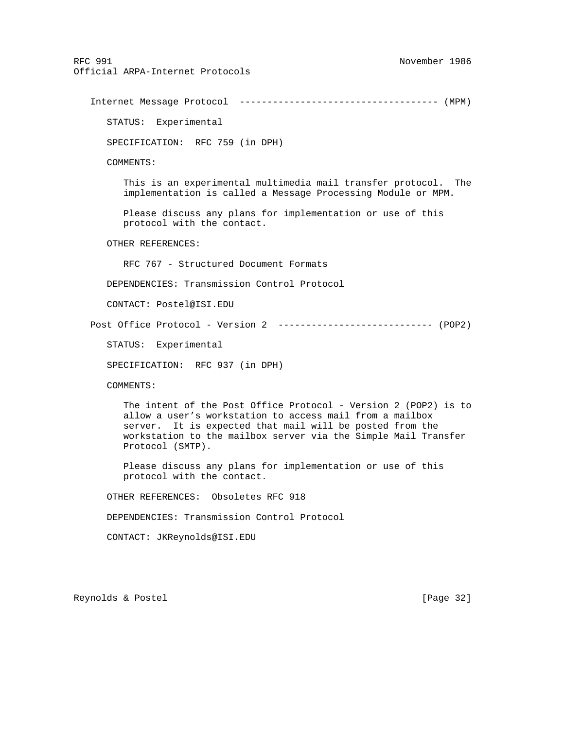Internet Message Protocol ------------------------------------ (MPM) STATUS: Experimental SPECIFICATION: RFC 759 (in DPH) COMMENTS: This is an experimental multimedia mail transfer protocol. The implementation is called a Message Processing Module or MPM. Please discuss any plans for implementation or use of this protocol with the contact. OTHER REFERENCES: RFC 767 - Structured Document Formats DEPENDENCIES: Transmission Control Protocol CONTACT: Postel@ISI.EDU Post Office Protocol - Version 2 ---------------------------- (POP2) STATUS: Experimental SPECIFICATION: RFC 937 (in DPH) COMMENTS: The intent of the Post Office Protocol - Version 2 (POP2) is to allow a user's workstation to access mail from a mailbox server. It is expected that mail will be posted from the workstation to the mailbox server via the Simple Mail Transfer Protocol (SMTP). Please discuss any plans for implementation or use of this protocol with the contact. OTHER REFERENCES: Obsoletes RFC 918 DEPENDENCIES: Transmission Control Protocol CONTACT: JKReynolds@ISI.EDU

Reynolds & Postel [Page 32]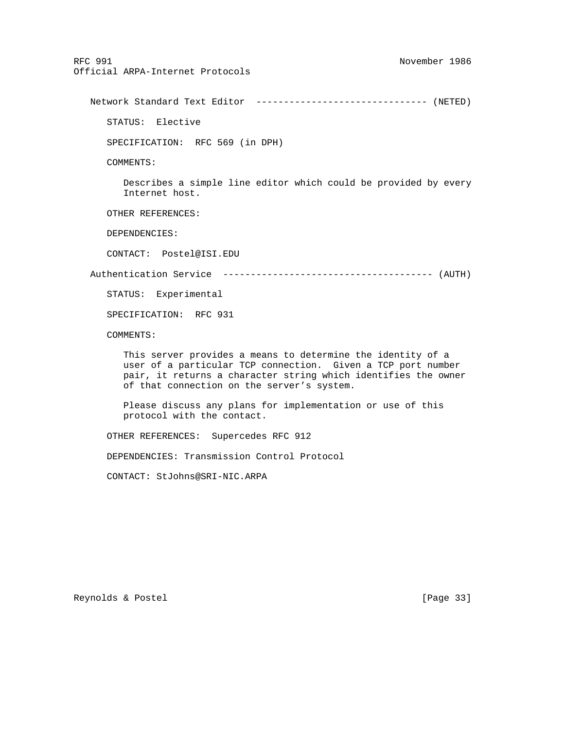Network Standard Text Editor ------------------------------- (NETED)

STATUS: Elective

SPECIFICATION: RFC 569 (in DPH)

COMMENTS:

 Describes a simple line editor which could be provided by every Internet host.

OTHER REFERENCES:

DEPENDENCIES:

CONTACT: Postel@ISI.EDU

Authentication Service -------------------------------------- (AUTH)

STATUS: Experimental

SPECIFICATION: RFC 931

COMMENTS:

 This server provides a means to determine the identity of a user of a particular TCP connection. Given a TCP port number pair, it returns a character string which identifies the owner of that connection on the server's system.

 Please discuss any plans for implementation or use of this protocol with the contact.

OTHER REFERENCES: Supercedes RFC 912

DEPENDENCIES: Transmission Control Protocol

CONTACT: StJohns@SRI-NIC.ARPA

Reynolds & Postel [Page 33]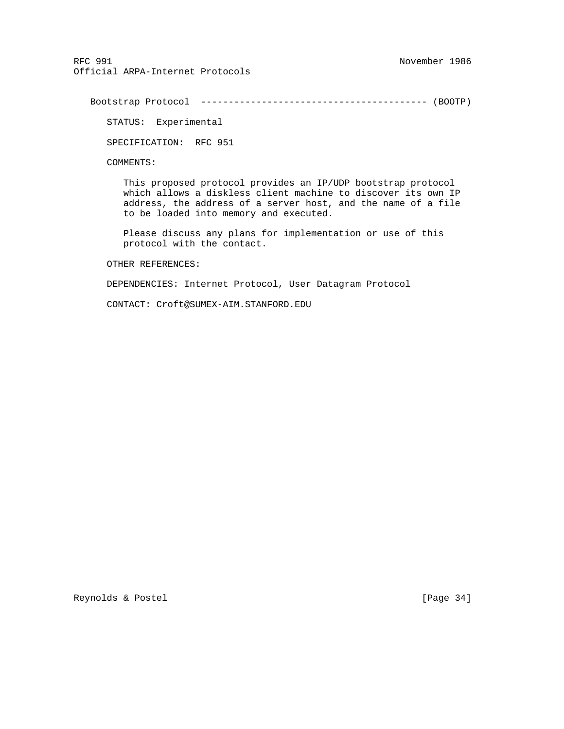Bootstrap Protocol ----------------------------------------- (BOOTP)

STATUS: Experimental

SPECIFICATION: RFC 951

COMMENTS:

 This proposed protocol provides an IP/UDP bootstrap protocol which allows a diskless client machine to discover its own IP address, the address of a server host, and the name of a file to be loaded into memory and executed.

 Please discuss any plans for implementation or use of this protocol with the contact.

OTHER REFERENCES:

DEPENDENCIES: Internet Protocol, User Datagram Protocol

CONTACT: Croft@SUMEX-AIM.STANFORD.EDU

Reynolds & Postel [Page 34]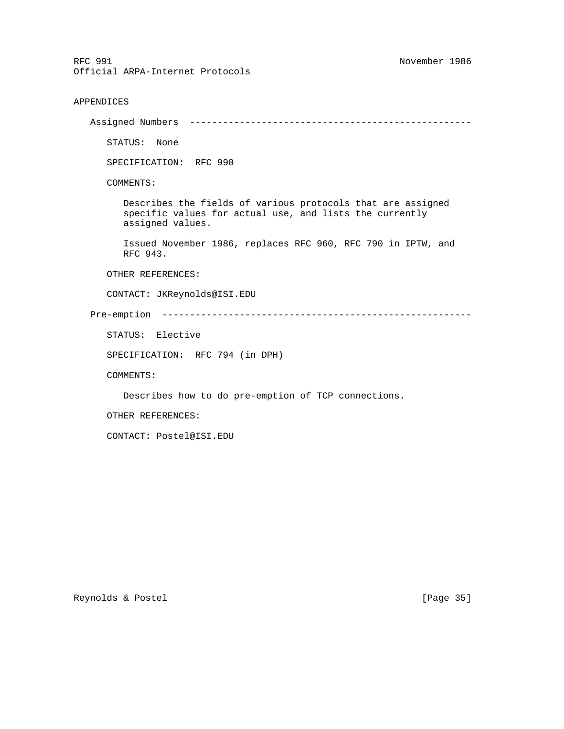```
APPENDICES
```
Assigned Numbers ---------------------------------------------------

STATUS: None

SPECIFICATION: RFC 990

COMMENTS:

 Describes the fields of various protocols that are assigned specific values for actual use, and lists the currently assigned values.

 Issued November 1986, replaces RFC 960, RFC 790 in IPTW, and RFC 943.

OTHER REFERENCES:

CONTACT: JKReynolds@ISI.EDU

Pre-emption --------------------------------------------------------

STATUS: Elective

SPECIFICATION: RFC 794 (in DPH)

COMMENTS:

Describes how to do pre-emption of TCP connections.

OTHER REFERENCES:

CONTACT: Postel@ISI.EDU

Reynolds & Postel [Page 35]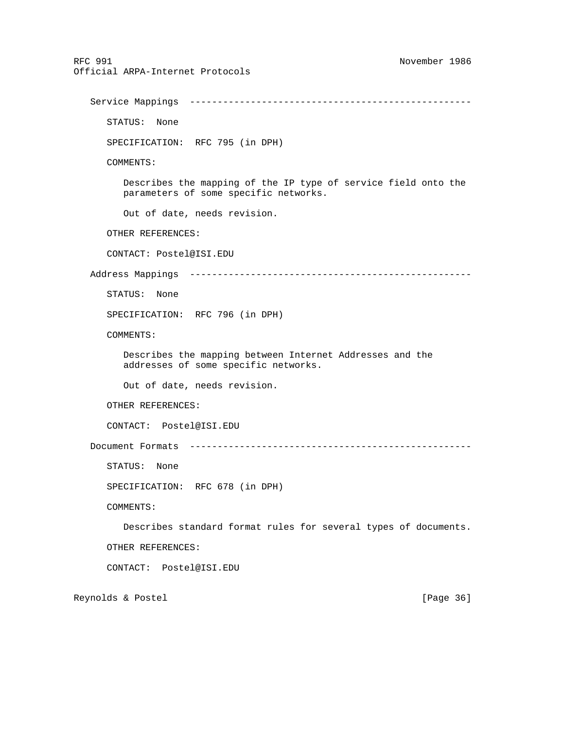RFC 991 November 1986 Official ARPA-Internet Protocols Service Mappings --------------------------------------------------- STATUS: None SPECIFICATION: RFC 795 (in DPH) COMMENTS: Describes the mapping of the IP type of service field onto the parameters of some specific networks. Out of date, needs revision. OTHER REFERENCES: CONTACT: Postel@ISI.EDU Address Mappings --------------------------------------------------- STATUS: None SPECIFICATION: RFC 796 (in DPH) COMMENTS: Describes the mapping between Internet Addresses and the addresses of some specific networks. Out of date, needs revision. OTHER REFERENCES: CONTACT: Postel@ISI.EDU Document Formats --------------------------------------------------- STATUS: None SPECIFICATION: RFC 678 (in DPH) COMMENTS: Describes standard format rules for several types of documents. OTHER REFERENCES: CONTACT: Postel@ISI.EDU Reynolds & Postel [Page 36]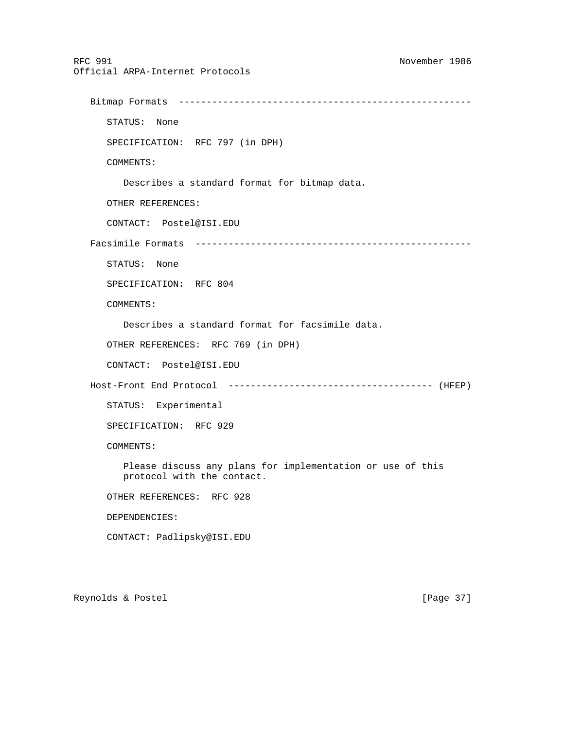```
RFC 991 November 1986
Official ARPA-Internet Protocols
   Bitmap Formats -----------------------------------------------------
      STATUS: None
      SPECIFICATION: RFC 797 (in DPH)
      COMMENTS:
         Describes a standard format for bitmap data.
      OTHER REFERENCES:
      CONTACT: Postel@ISI.EDU
   Facsimile Formats --------------------------------------------------
      STATUS: None
      SPECIFICATION: RFC 804
      COMMENTS:
         Describes a standard format for facsimile data.
      OTHER REFERENCES: RFC 769 (in DPH)
      CONTACT: Postel@ISI.EDU
   Host-Front End Protocol ------------------------------------- (HFEP)
      STATUS: Experimental
      SPECIFICATION: RFC 929
      COMMENTS:
         Please discuss any plans for implementation or use of this
         protocol with the contact.
      OTHER REFERENCES: RFC 928
      DEPENDENCIES:
      CONTACT: Padlipsky@ISI.EDU
```
Reynolds & Postel [Page 37]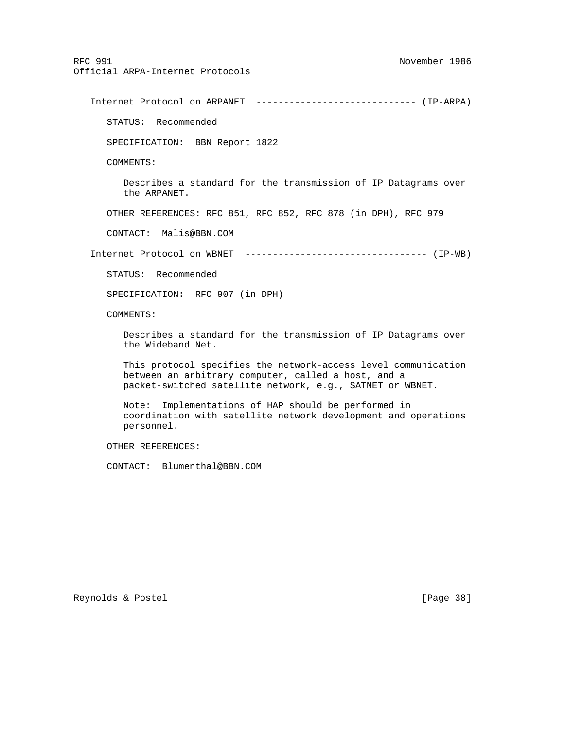Internet Protocol on ARPANET ----------------------------- (IP-ARPA) STATUS: Recommended SPECIFICATION: BBN Report 1822 COMMENTS: Describes a standard for the transmission of IP Datagrams over the ARPANET. OTHER REFERENCES: RFC 851, RFC 852, RFC 878 (in DPH), RFC 979 CONTACT: Malis@BBN.COM Internet Protocol on WBNET --------------------------------- (IP-WB) STATUS: Recommended SPECIFICATION: RFC 907 (in DPH) COMMENTS: Describes a standard for the transmission of IP Datagrams over the Wideband Net. This protocol specifies the network-access level communication between an arbitrary computer, called a host, and a packet-switched satellite network, e.g., SATNET or WBNET. Note: Implementations of HAP should be performed in coordination with satellite network development and operations personnel.

OTHER REFERENCES:

CONTACT: Blumenthal@BBN.COM

Reynolds & Postel [Page 38]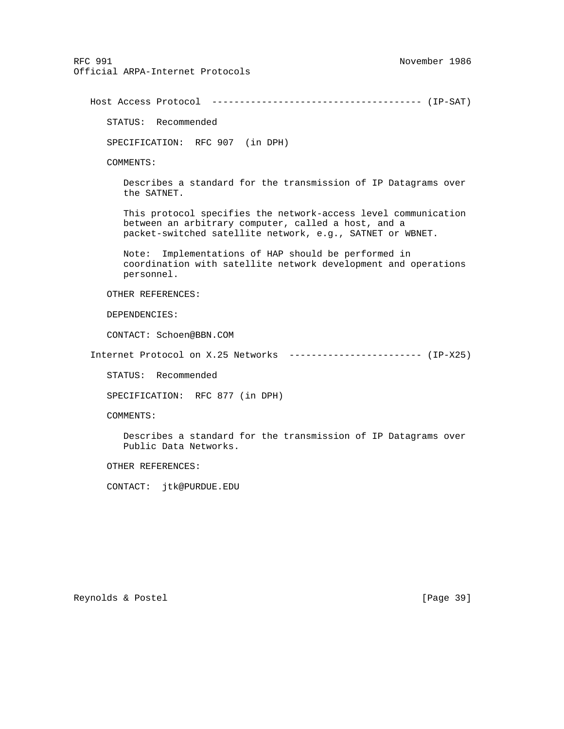Host Access Protocol -------------------------------------- (IP-SAT) STATUS: Recommended SPECIFICATION: RFC 907 (in DPH) COMMENTS: Describes a standard for the transmission of IP Datagrams over the SATNET. This protocol specifies the network-access level communication between an arbitrary computer, called a host, and a packet-switched satellite network, e.g., SATNET or WBNET. Note: Implementations of HAP should be performed in coordination with satellite network development and operations personnel. OTHER REFERENCES: DEPENDENCIES: CONTACT: Schoen@BBN.COM Internet Protocol on X.25 Networks ------------------------ (IP-X25) STATUS: Recommended SPECIFICATION: RFC 877 (in DPH) COMMENTS: Describes a standard for the transmission of IP Datagrams over Public Data Networks. OTHER REFERENCES: CONTACT: jtk@PURDUE.EDU

Reynolds & Postel [Page 39]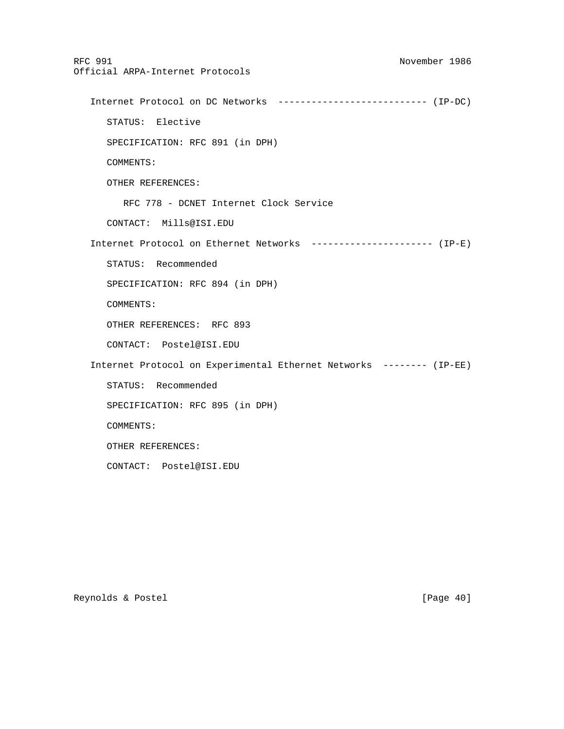RFC 991 November 1986 Official ARPA-Internet Protocols Internet Protocol on DC Networks --------------------------- (IP-DC) STATUS: Elective SPECIFICATION: RFC 891 (in DPH) COMMENTS: OTHER REFERENCES: RFC 778 - DCNET Internet Clock Service CONTACT: Mills@ISI.EDU Internet Protocol on Ethernet Networks ---------------------- (IP-E) STATUS: Recommended SPECIFICATION: RFC 894 (in DPH) COMMENTS: OTHER REFERENCES: RFC 893 CONTACT: Postel@ISI.EDU Internet Protocol on Experimental Ethernet Networks -------- (IP-EE) STATUS: Recommended SPECIFICATION: RFC 895 (in DPH) COMMENTS: OTHER REFERENCES: CONTACT: Postel@ISI.EDU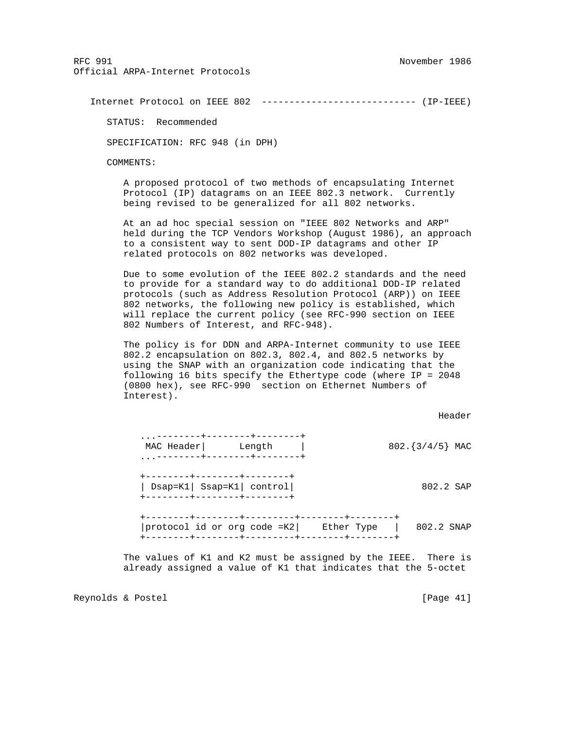Internet Protocol on IEEE 802 ---------------------------- (IP-IEEE)

STATUS: Recommended

SPECIFICATION: RFC 948 (in DPH)

COMMENTS:

 A proposed protocol of two methods of encapsulating Internet Protocol (IP) datagrams on an IEEE 802.3 network. Currently being revised to be generalized for all 802 networks.

 At an ad hoc special session on "IEEE 802 Networks and ARP" held during the TCP Vendors Workshop (August 1986), an approach to a consistent way to sent DOD-IP datagrams and other IP related protocols on 802 networks was developed.

 Due to some evolution of the IEEE 802.2 standards and the need to provide for a standard way to do additional DOD-IP related protocols (such as Address Resolution Protocol (ARP)) on IEEE 802 networks, the following new policy is established, which will replace the current policy (see RFC-990 section on IEEE 802 Numbers of Interest, and RFC-948).

 The policy is for DDN and ARPA-Internet community to use IEEE 802.2 encapsulation on 802.3, 802.4, and 802.5 networks by using the SNAP with an organization code indicating that the following 16 bits specify the Ethertype code (where IP = 2048 (0800 hex), see RFC-990 section on Ethernet Numbers of Interest).

header is a state of the control of the control of the control of the control of the control of the control of

| $\cdots$ | MAC Header             | Length<br>--------+--------+------ |            | 802. ${3/4/5}$ MAC |  |
|----------|------------------------|------------------------------------|------------|--------------------|--|
|          | -------+-------+------ | $DSap=K1$   Ssap=K1  control       |            | 802.2 SAP          |  |
|          |                        | protocol id or org code =K2        | Ether Type | 802.2 SNAP         |  |

 The values of K1 and K2 must be assigned by the IEEE. There is already assigned a value of K1 that indicates that the 5-octet

Reynolds & Postel [Page 41]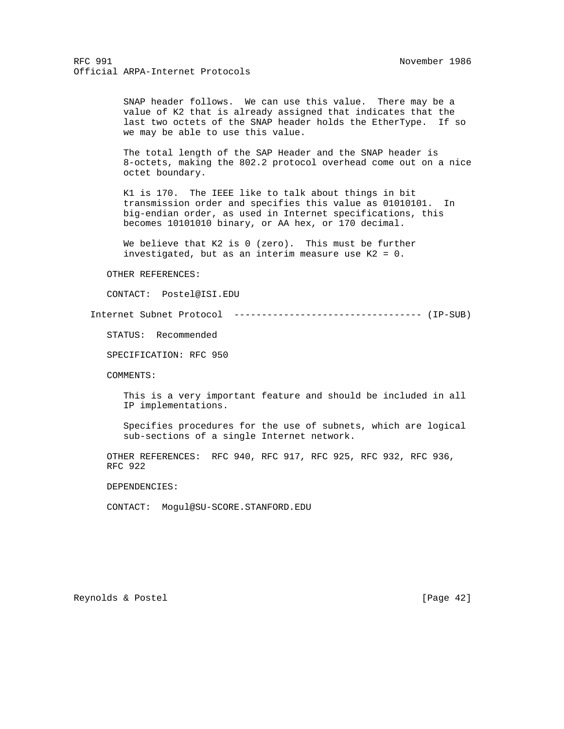SNAP header follows. We can use this value. There may be a value of K2 that is already assigned that indicates that the last two octets of the SNAP header holds the EtherType. If so we may be able to use this value.

 The total length of the SAP Header and the SNAP header is 8-octets, making the 802.2 protocol overhead come out on a nice octet boundary.

 K1 is 170. The IEEE like to talk about things in bit transmission order and specifies this value as 01010101. In big-endian order, as used in Internet specifications, this becomes 10101010 binary, or AA hex, or 170 decimal.

We believe that K2 is 0 (zero). This must be further investigated, but as an interim measure use K2 = 0.

#### OTHER REFERENCES:

CONTACT: Postel@ISI.EDU

Internet Subnet Protocol ---------------------------------- (IP-SUB)

STATUS: Recommended

SPECIFICATION: RFC 950

COMMENTS:

 This is a very important feature and should be included in all IP implementations.

 Specifies procedures for the use of subnets, which are logical sub-sections of a single Internet network.

 OTHER REFERENCES: RFC 940, RFC 917, RFC 925, RFC 932, RFC 936, RFC 922

DEPENDENCIES:

CONTACT: Mogul@SU-SCORE.STANFORD.EDU

Reynolds & Postel [Page 42]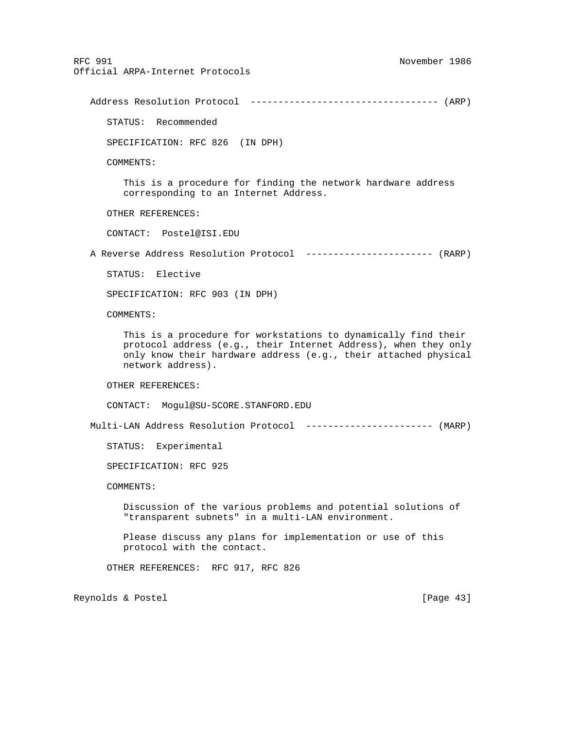Address Resolution Protocol ---------------------------------- (ARP)

STATUS: Recommended

SPECIFICATION: RFC 826 (IN DPH)

COMMENTS:

 This is a procedure for finding the network hardware address corresponding to an Internet Address.

OTHER REFERENCES:

CONTACT: Postel@ISI.EDU

A Reverse Address Resolution Protocol ----------------------- (RARP)

STATUS: Elective

SPECIFICATION: RFC 903 (IN DPH)

COMMENTS:

 This is a procedure for workstations to dynamically find their protocol address (e.g., their Internet Address), when they only only know their hardware address (e.g., their attached physical network address).

OTHER REFERENCES:

CONTACT: Mogul@SU-SCORE.STANFORD.EDU

Multi-LAN Address Resolution Protocol ----------------------- (MARP)

STATUS: Experimental

SPECIFICATION: RFC 925

COMMENTS:

 Discussion of the various problems and potential solutions of "transparent subnets" in a multi-LAN environment.

 Please discuss any plans for implementation or use of this protocol with the contact.

OTHER REFERENCES: RFC 917, RFC 826

Reynolds & Postel [Page 43]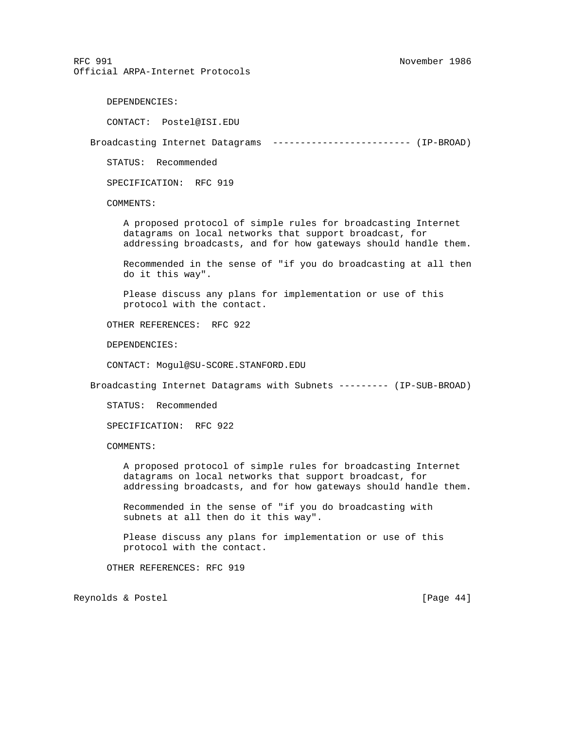DEPENDENCIES:

CONTACT: Postel@ISI.EDU

Broadcasting Internet Datagrams ------------------------- (IP-BROAD)

STATUS: Recommended

SPECIFICATION: RFC 919

COMMENTS:

 A proposed protocol of simple rules for broadcasting Internet datagrams on local networks that support broadcast, for addressing broadcasts, and for how gateways should handle them.

 Recommended in the sense of "if you do broadcasting at all then do it this way".

 Please discuss any plans for implementation or use of this protocol with the contact.

OTHER REFERENCES: RFC 922

DEPENDENCIES:

CONTACT: Mogul@SU-SCORE.STANFORD.EDU

Broadcasting Internet Datagrams with Subnets --------- (IP-SUB-BROAD)

STATUS: Recommended

SPECIFICATION: RFC 922

COMMENTS:

 A proposed protocol of simple rules for broadcasting Internet datagrams on local networks that support broadcast, for addressing broadcasts, and for how gateways should handle them.

 Recommended in the sense of "if you do broadcasting with subnets at all then do it this way".

 Please discuss any plans for implementation or use of this protocol with the contact.

OTHER REFERENCES: RFC 919

Reynolds & Postel [Page 44]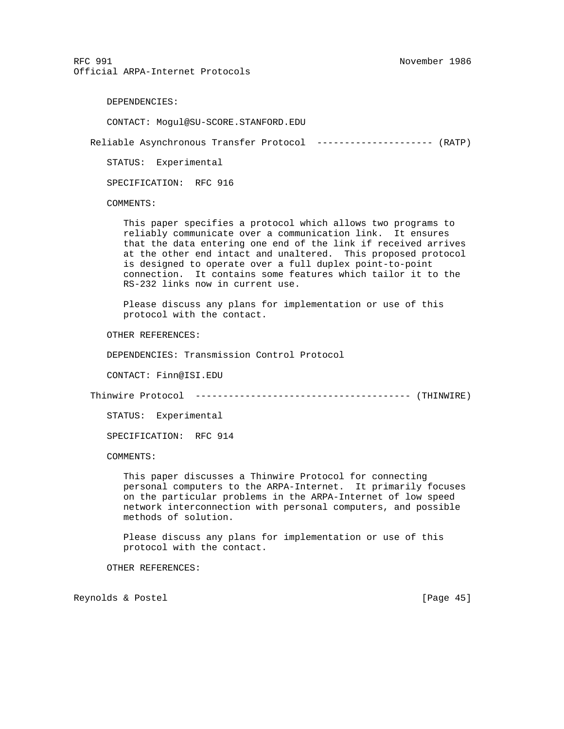DEPENDENCIES:

CONTACT: Mogul@SU-SCORE.STANFORD.EDU

Reliable Asynchronous Transfer Protocol --------------------- (RATP)

STATUS: Experimental

SPECIFICATION: RFC 916

COMMENTS:

 This paper specifies a protocol which allows two programs to reliably communicate over a communication link. It ensures that the data entering one end of the link if received arrives at the other end intact and unaltered. This proposed protocol is designed to operate over a full duplex point-to-point connection. It contains some features which tailor it to the RS-232 links now in current use.

 Please discuss any plans for implementation or use of this protocol with the contact.

OTHER REFERENCES:

DEPENDENCIES: Transmission Control Protocol

CONTACT: Finn@ISI.EDU

Thinwire Protocol --------------------------------------- (THINWIRE)

STATUS: Experimental

SPECIFICATION: RFC 914

COMMENTS:

 This paper discusses a Thinwire Protocol for connecting personal computers to the ARPA-Internet. It primarily focuses on the particular problems in the ARPA-Internet of low speed network interconnection with personal computers, and possible methods of solution.

 Please discuss any plans for implementation or use of this protocol with the contact.

OTHER REFERENCES:

Reynolds & Postel [Page 45]